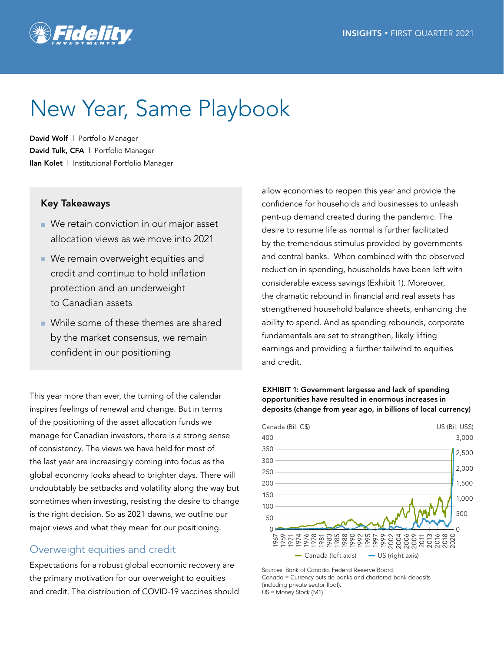

# New Year, Same Playbook

David Wolf | Portfolio Manager David Tulk, CFA | Portfolio Manager Ilan Kolet | Institutional Portfolio Manager

## Key Takeaways

- We retain conviction in our major asset allocation views as we move into 2021
- We remain overweight equities and credit and continue to hold inflation protection and an underweight to Canadian assets
- While some of these themes are shared by the market consensus, we remain confident in our positioning

This year more than ever, the turning of the calendar inspires feelings of renewal and change. But in terms of the positioning of the asset allocation funds we manage for Canadian investors, there is a strong sense of consistency. The views we have held for most of the last year are increasingly coming into focus as the global economy looks ahead to brighter days. There will undoubtably be setbacks and volatility along the way but sometimes when investing, resisting the desire to change is the right decision. So as 2021 dawns, we outline our major views and what they mean for our positioning.

## Overweight equities and credit

Expectations for a robust global economic recovery are the primary motivation for our overweight to equities and credit. The distribution of COVID-19 vaccines should allow economies to reopen this year and provide the confidence for households and businesses to unleash pent-up demand created during the pandemic. The desire to resume life as normal is further facilitated by the tremendous stimulus provided by governments and central banks. When combined with the observed reduction in spending, households have been left with considerable excess savings (Exhibit 1). Moreover, the dramatic rebound in financial and real assets has strengthened household balance sheets, enhancing the ability to spend. And as spending rebounds, corporate fundamentals are set to strengthen, likely lifting earnings and providing a further tailwind to equities and credit.





Sources: Bank of Canada, Federal Reserve Board. Canada = Currency outside banks and chartered bank deposits (including private sector float). US = Money Stock (M1).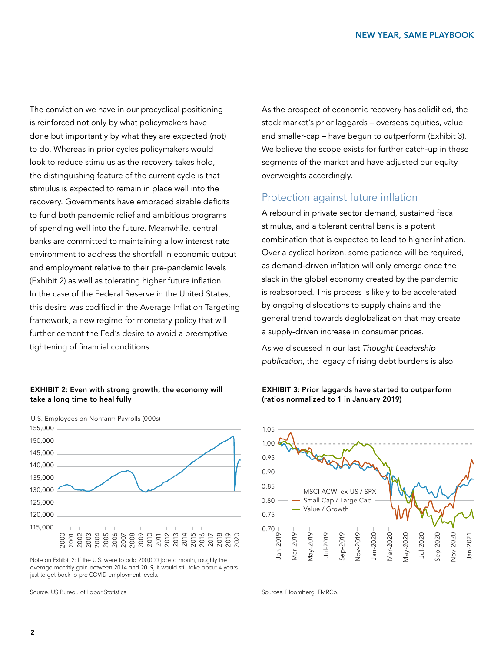The conviction we have in our procyclical positioning is reinforced not only by what policymakers have done but importantly by what they are expected (not) to do. Whereas in prior cycles policymakers would look to reduce stimulus as the recovery takes hold, the distinguishing feature of the current cycle is that stimulus is expected to remain in place well into the recovery. Governments have embraced sizable deficits to fund both pandemic relief and ambitious programs of spending well into the future. Meanwhile, central banks are committed to maintaining a low interest rate environment to address the shortfall in economic output and employment relative to their pre-pandemic levels (Exhibit 2) as well as tolerating higher future inflation. In the case of the Federal Reserve in the United States, this desire was codified in the Average Inflation Targeting framework, a new regime for monetary policy that will further cement the Fed's desire to avoid a preemptive tightening of financial conditions.

### EXHIBIT 2: Even with strong growth, the economy will take a long time to heal fully



Note on Exhibit 2: If the U.S. were to add 200,000 jobs a month, roughly the average monthly gain between 2014 and 2019, it would still take about 4 years just to get back to pre-COVID employment levels.

Source: US Bureau of Labor Statistics.

As the prospect of economic recovery has solidified, the stock market's prior laggards – overseas equities, value and smaller-cap – have begun to outperform (Exhibit 3). We believe the scope exists for further catch-up in these segments of the market and have adjusted our equity overweights accordingly.

# Protection against future inflation

A rebound in private sector demand, sustained fiscal stimulus, and a tolerant central bank is a potent combination that is expected to lead to higher inflation. Over a cyclical horizon, some patience will be required, as demand-driven inflation will only emerge once the slack in the global economy created by the pandemic is reabsorbed. This process is likely to be accelerated by ongoing dislocations to supply chains and the general trend towards deglobalization that may create a supply-driven increase in consumer prices.

As we discussed in our last *Thought Leadership publication*[, the legacy of rising debt burdens is](https://www.fidelity.ca/fidca/en/expertinsights/assetallocation/reportq42020) also





Sources: Bloomberg, FMRCo.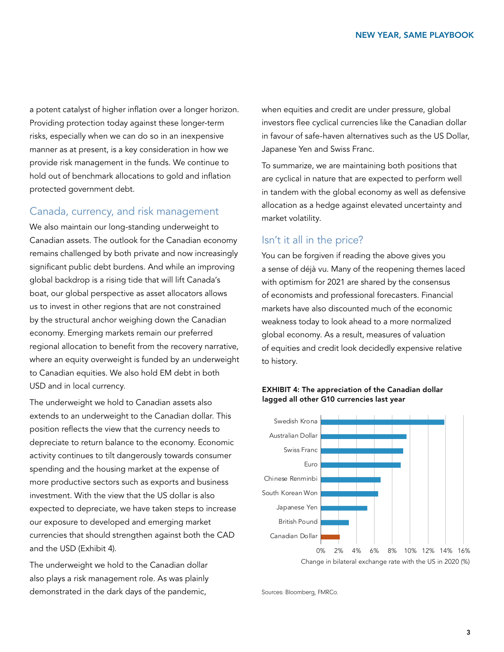a potent catalyst of higher inflation over a longer horizon. Providing protection today against these longer-term risks, especially when we can do so in an inexpensive manner as at present, is a key consideration in how we provide risk management in the funds. We continue to hold out of benchmark allocations to gold and inflation protected government debt.

## Canada, currency, and risk management

We also maintain our long-standing underweight to Canadian assets. The outlook for the Canadian economy remains challenged by both private and now increasingly significant public debt burdens. And while an improving global backdrop is a rising tide that will lift Canada's boat, our global perspective as asset allocators allows us to invest in other regions that are not constrained by the structural anchor weighing down the Canadian economy. Emerging markets remain our preferred regional allocation to benefit from the recovery narrative, where an equity overweight is funded by an underweight to Canadian equities. We also hold EM debt in both USD and in local currency.

The underweight we hold to Canadian assets also extends to an underweight to the Canadian dollar. This position reflects the view that the currency needs to depreciate to return balance to the economy. Economic activity continues to tilt dangerously towards consumer spending and the housing market at the expense of more productive sectors such as exports and business investment. With the view that the US dollar is also expected to depreciate, we have taken steps to increase our exposure to developed and emerging market currencies that should strengthen against both the CAD and the USD (Exhibit 4).

The underweight we hold to the Canadian dollar also plays a risk management role. As was plainly demonstrated in the dark days of the pandemic,

when equities and credit are under pressure, global investors flee cyclical currencies like the Canadian dollar in favour of safe-haven alternatives such as the US Dollar, Japanese Yen and Swiss Franc.

To summarize, we are maintaining both positions that are cyclical in nature that are expected to perform well in tandem with the global economy as well as defensive allocation as a hedge against elevated uncertainty and market volatility.

# Isn't it all in the price?

You can be forgiven if reading the above gives you a sense of déjà vu. Many of the reopening themes laced with optimism for 2021 are shared by the consensus of economists and professional forecasters. Financial markets have also discounted much of the economic weakness today to look ahead to a more normalized global economy. As a result, measures of valuation of equities and credit look decidedly expensive relative to history.



## EXHIBIT 4: The appreciation of the Canadian dollar lagged all other G10 currencies last year

Sources: Bloomberg, FMRCo.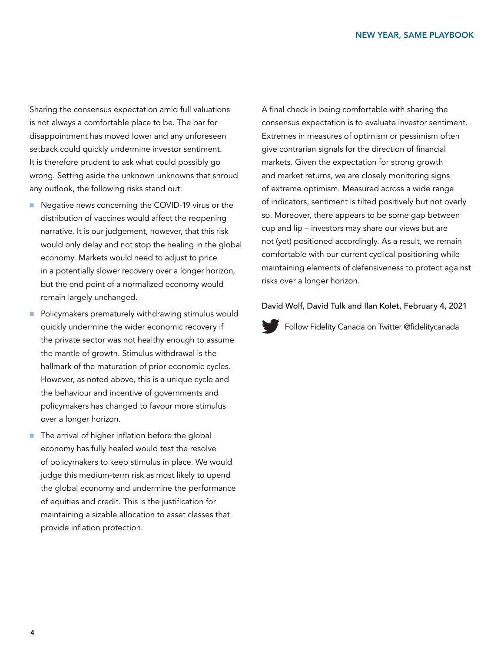Sharing the consensus expectation amid full valuations is not always a comfortable place to be. The bar for disappointment has moved lower and any unforeseen setback could quickly undermine investor sentiment. It is therefore prudent to ask what could possibly go wrong. Setting aside the unknown unknowns that shroud any outlook, the following risks stand out:

- Negative news concerning the COVID-19 virus or the distribution of vaccines would affect the reopening narrative. It is our judgement, however, that this risk would only delay and not stop the healing in the global economy. Markets would need to adjust to price in a potentially slower recovery over a longer horizon, but the end point of a normalized economy would remain largely unchanged.
- Policymakers prematurely withdrawing stimulus would quickly undermine the wider economic recovery if the private sector was not healthy enough to assume the mantle of growth. Stimulus withdrawal is the hallmark of the maturation of prior economic cycles. However, as noted above, this is a unique cycle and the behaviour and incentive of governments and policymakers has changed to favour more stimulus over a longer horizon.
- The arrival of higher inflation before the global economy has fully healed would test the resolve of policymakers to keep stimulus in place. We would judge this medium-term risk as most likely to upend the global economy and undermine the performance of equities and credit. This is the justification for maintaining a sizable allocation to asset classes that provide inflation protection.

A final check in being comfortable with sharing the consensus expectation is to evaluate investor sentiment. Extremes in measures of optimism or pessimism often give contrarian signals for the direction of financial markets. Given the expectation for strong growth and market returns, we are closely monitoring signs of extreme optimism. Measured across a wide range of indicators, sentiment is tilted positively but not overly so. Moreover, there appears to be some gap between cup and lip – investors may share our views but are not (yet) positioned accordingly. As a result, we remain comfortable with our current cyclical positioning while maintaining elements of defensiveness to protect against risks over a longer horizon.

## David Wolf, David Tulk and Ilan Kolet, February 4, 2021

[Follow Fidelity Canada on Twitter @fidelitycanada](https://twitter.com/fidelitycanada)